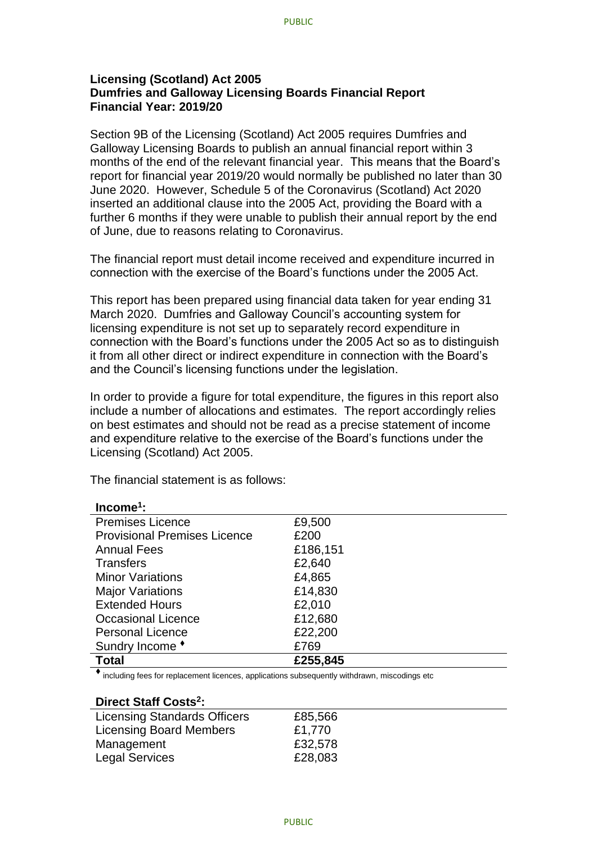## **Licensing (Scotland) Act 2005 Dumfries and Galloway Licensing Boards Financial Report Financial Year: 2019/20**

Section 9B of the Licensing (Scotland) Act 2005 requires Dumfries and Galloway Licensing Boards to publish an annual financial report within 3 months of the end of the relevant financial year. This means that the Board's report for financial year 2019/20 would normally be published no later than 30 June 2020. However, Schedule 5 of the Coronavirus (Scotland) Act 2020 inserted an additional clause into the 2005 Act, providing the Board with a further 6 months if they were unable to publish their annual report by the end of June, due to reasons relating to Coronavirus.

The financial report must detail income received and expenditure incurred in connection with the exercise of the Board's functions under the 2005 Act.

This report has been prepared using financial data taken for year ending 31 March 2020. Dumfries and Galloway Council's accounting system for licensing expenditure is not set up to separately record expenditure in connection with the Board's functions under the 2005 Act so as to distinguish it from all other direct or indirect expenditure in connection with the Board's and the Council's licensing functions under the legislation.

In order to provide a figure for total expenditure, the figures in this report also include a number of allocations and estimates. The report accordingly relies on best estimates and should not be read as a precise statement of income and expenditure relative to the exercise of the Board's functions under the Licensing (Scotland) Act 2005.

The financial statement is as follows:

| $Income1$ :                         |          |
|-------------------------------------|----------|
| <b>Premises Licence</b>             | £9,500   |
| <b>Provisional Premises Licence</b> | £200     |
| <b>Annual Fees</b>                  | £186,151 |
| <b>Transfers</b>                    | £2,640   |
| <b>Minor Variations</b>             | £4,865   |
| <b>Major Variations</b>             | £14,830  |
| <b>Extended Hours</b>               | £2,010   |
| <b>Occasional Licence</b>           | £12,680  |
| <b>Personal Licence</b>             | £22,200  |
| Sundry Income *                     | £769     |
| <b>Total</b>                        | £255,845 |

⧫ including fees for replacement licences, applications subsequently withdrawn, miscodings etc

## **Direct Staff Costs<sup>2</sup> :**

| <b>Licensing Standards Officers</b> | £85,566 |
|-------------------------------------|---------|
| <b>Licensing Board Members</b>      | £1,770  |
| Management                          | £32,578 |
| <b>Legal Services</b>               | £28,083 |